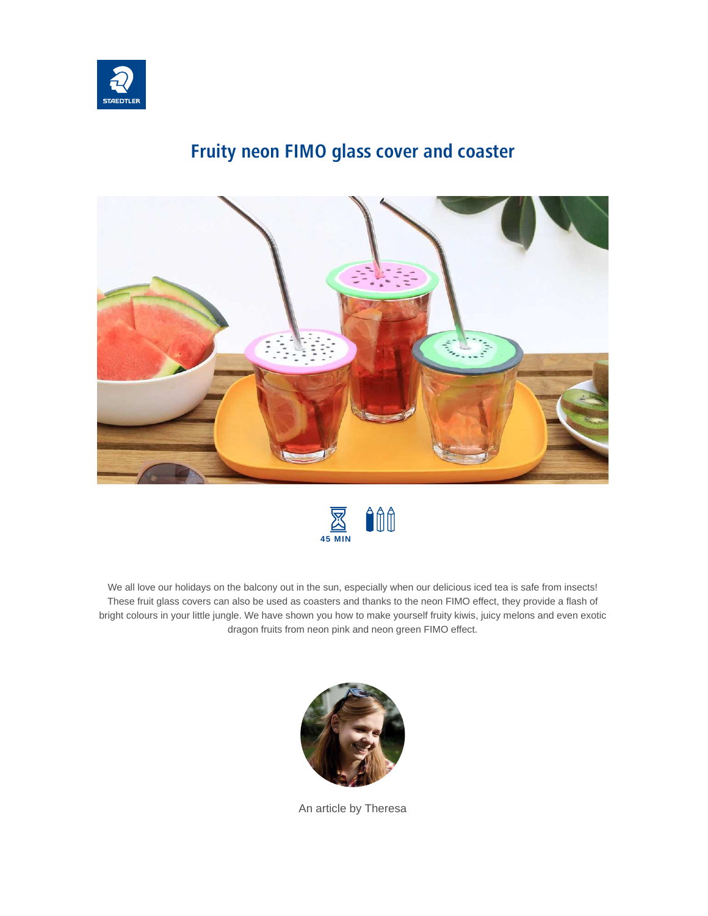

# **Fruity neon FIMO glass cover and coaster**





We all love our holidays on the balcony out in the sun, especially when our delicious iced tea is safe from insects! These fruit glass covers can also be used as coasters and thanks to the neon FIMO effect, they provide a flash of bright colours in your little jungle. We have shown you how to make yourself fruity kiwis, juicy melons and even exotic dragon fruits from neon pink and neon green FIMO effect.



An article by Theresa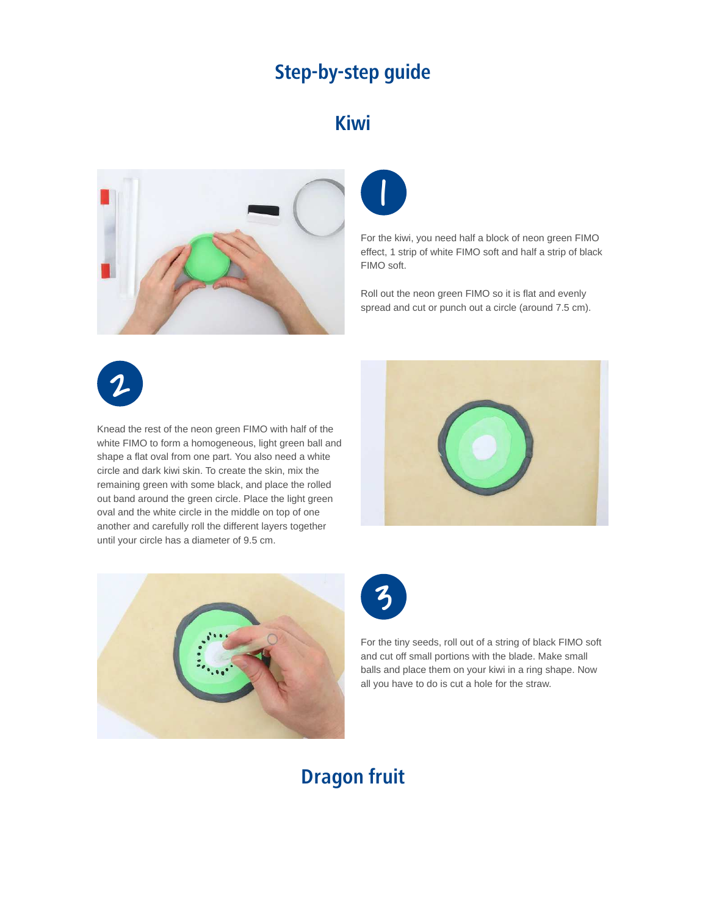#### **Step-by-step guide**

#### **Kiwi**





For the kiwi, you need half a block of neon green FIMO effect, 1 strip of white FIMO soft and half a strip of black FIMO soft.

Roll out the neon green FIMO so it is flat and evenly spread and cut or punch out a circle (around 7.5 cm).



Knead the rest of the neon green FIMO with half of the white FIMO to form a homogeneous, light green ball and shape a flat oval from one part. You also need a white circle and dark kiwi skin. To create the skin, mix the remaining green with some black, and place the rolled out band around the green circle. Place the light green oval and the white circle in the middle on top of one another and carefully roll the different layers together until your circle has a diameter of 9.5 cm.







For the tiny seeds, roll out of a string of black FIMO soft and cut off small portions with the blade. Make small balls and place them on your kiwi in a ring shape. Now all you have to do is cut a hole for the straw.

### **Dragon fruit**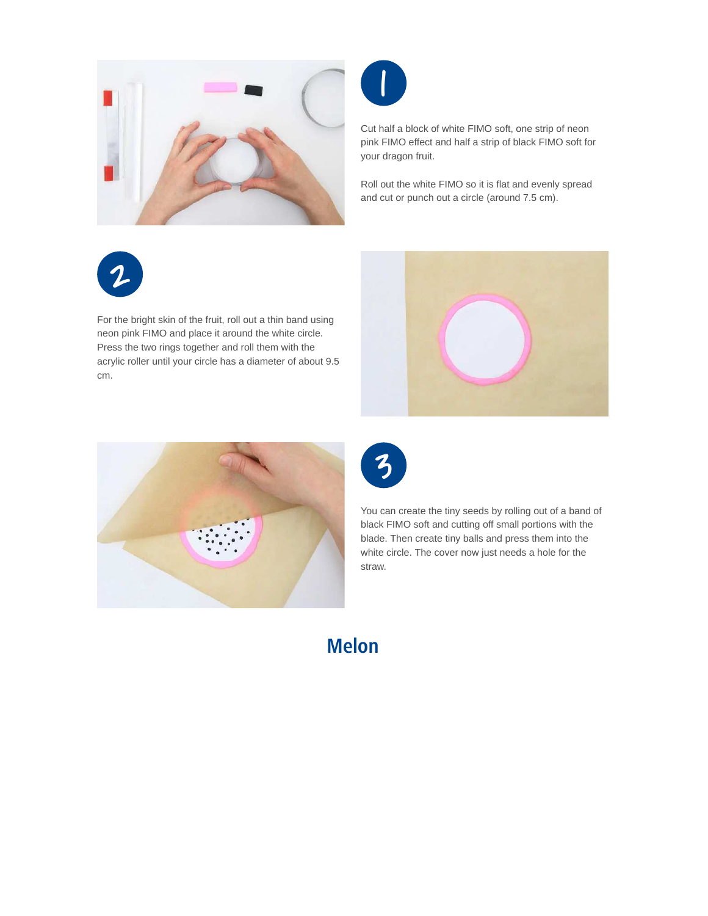



Cut half a block of white FIMO soft, one strip of neon pink FIMO effect and half a strip of black FIMO soft for your dragon fruit.

Roll out the white FIMO so it is flat and evenly spread and cut or punch out a circle (around 7.5 cm).



For the bright skin of the fruit, roll out a thin band using neon pink FIMO and place it around the white circle. Press the two rings together and roll them with the acrylic roller until your circle has a diameter of about 9.5 cm.







You can create the tiny seeds by rolling out of a band of black FIMO soft and cutting off small portions with the blade. Then create tiny balls and press them into the white circle. The cover now just needs a hole for the straw.

#### **Melon**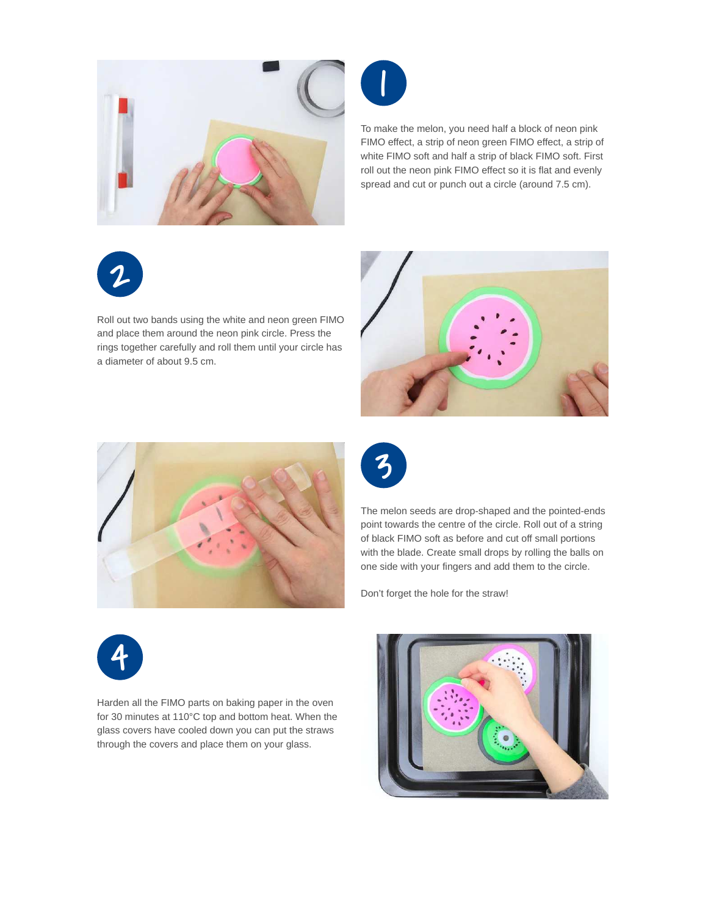



To make the melon, you need half a block of neon pink FIMO effect, a strip of neon green FIMO effect, a strip of white FIMO soft and half a strip of black FIMO soft. First roll out the neon pink FIMO effect so it is flat and evenly spread and cut or punch out a circle (around 7.5 cm).

# 2

Roll out two bands using the white and neon green FIMO and place them around the neon pink circle. Press the rings together carefully and roll them until your circle has a diameter of about 9.5 cm.







The melon seeds are drop-shaped and the pointed-ends point towards the centre of the circle. Roll out of a string of black FIMO soft as before and cut off small portions with the blade. Create small drops by rolling the balls on one side with your fingers and add them to the circle.

Don't forget the hole for the straw!



Harden all the FIMO parts on baking paper in the oven for 30 minutes at 110°C top and bottom heat. When the glass covers have cooled down you can put the straws through the covers and place them on your glass.

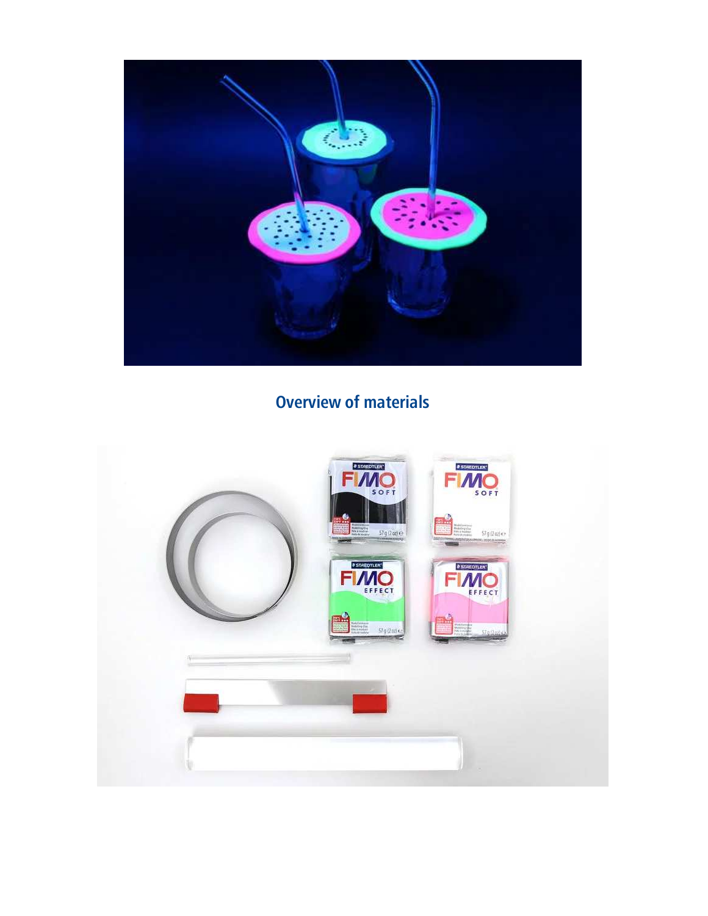

## **Overview of materials**